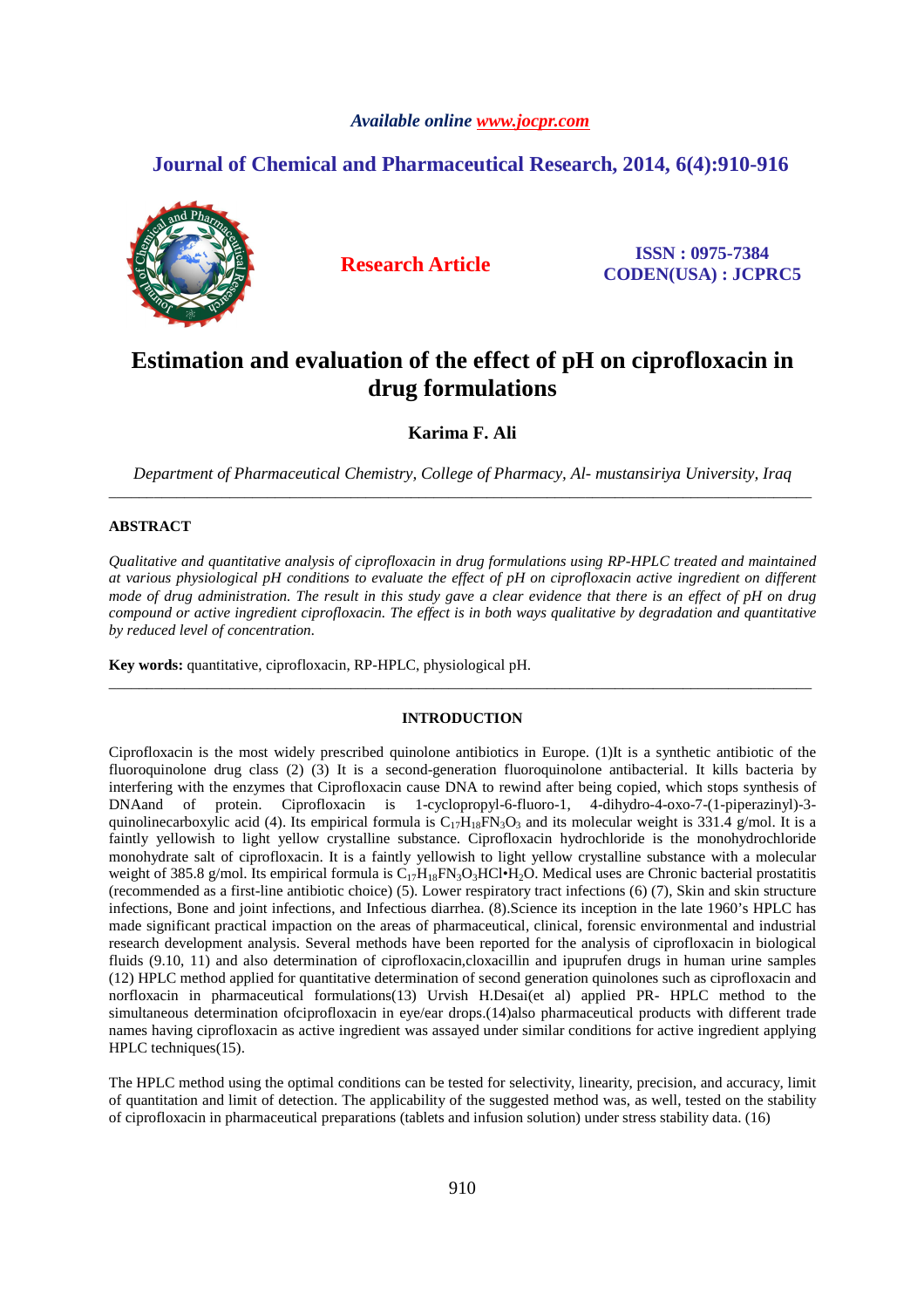### *Available online www.jocpr.com*

## **Journal of Chemical and Pharmaceutical Research, 2014, 6(4):910-916**



**Research Article ISSN : 0975-7384 CODEN(USA) : JCPRC5**

# **Estimation and evaluation of the effect of pH on ciprofloxacin in drug formulations**

**Karima F. Ali** 

*Department of Pharmaceutical Chemistry, College of Pharmacy, Al- mustansiriya University, Iraq*  \_\_\_\_\_\_\_\_\_\_\_\_\_\_\_\_\_\_\_\_\_\_\_\_\_\_\_\_\_\_\_\_\_\_\_\_\_\_\_\_\_\_\_\_\_\_\_\_\_\_\_\_\_\_\_\_\_\_\_\_\_\_\_\_\_\_\_\_\_\_\_\_\_\_\_\_\_\_\_\_\_\_\_\_\_\_\_\_\_\_\_\_\_

#### **ABSTRACT**

*Qualitative and quantitative analysis of ciprofloxacin in drug formulations using RP-HPLC treated and maintained at various physiological pH conditions to evaluate the effect of pH on ciprofloxacin active ingredient on different mode of drug administration. The result in this study gave a clear evidence that there is an effect of pH on drug compound or active ingredient ciprofloxacin. The effect is in both ways qualitative by degradation and quantitative by reduced level of concentration.* 

**Key words:** quantitative, ciprofloxacin, RP-HPLC, physiological pH.

#### **INTRODUCTION**

\_\_\_\_\_\_\_\_\_\_\_\_\_\_\_\_\_\_\_\_\_\_\_\_\_\_\_\_\_\_\_\_\_\_\_\_\_\_\_\_\_\_\_\_\_\_\_\_\_\_\_\_\_\_\_\_\_\_\_\_\_\_\_\_\_\_\_\_\_\_\_\_\_\_\_\_\_\_\_\_\_\_\_\_\_\_\_\_\_\_\_\_\_

Ciprofloxacin is the most widely prescribed quinolone antibiotics in Europe. (1)It is a synthetic antibiotic of the fluoroquinolone drug class (2) (3) It is a second-generation fluoroquinolone antibacterial. It kills bacteria by interfering with the enzymes that Ciprofloxacin cause DNA to rewind after being copied, which stops synthesis of DNAand of protein. Ciprofloxacin is 1-cyclopropyl-6-fluoro-1, 4-dihydro-4-oxo-7-(1-piperazinyl)-3 quinolinecarboxylic acid (4). Its empirical formula is  $C_{17}H_{18}FN_3O_3$  and its molecular weight is 331.4 g/mol. It is a faintly yellowish to light yellow crystalline substance. Ciprofloxacin hydrochloride is the monohydrochloride monohydrate salt of ciprofloxacin. It is a faintly yellowish to light yellow crystalline substance with a molecular weight of 385.8 g/mol. Its empirical formula is C<sub>17</sub>H<sub>18</sub>FN<sub>3</sub>O<sub>3</sub>HCl•H<sub>2</sub>O. Medical uses are Chronic bacterial prostatitis (recommended as a first-line antibiotic choice) (5). Lower respiratory tract infections (6) (7), Skin and skin structure infections, Bone and joint infections, and Infectious diarrhea. (8).Science its inception in the late 1960's HPLC has made significant practical impaction on the areas of pharmaceutical, clinical, forensic environmental and industrial research development analysis. Several methods have been reported for the analysis of ciprofloxacin in biological fluids (9.10, 11) and also determination of ciprofloxacin,cloxacillin and ipuprufen drugs in human urine samples (12) HPLC method applied for quantitative determination of second generation quinolones such as ciprofloxacin and norfloxacin in pharmaceutical formulations(13) Urvish H.Desai(et al) applied PR- HPLC method to the simultaneous determination ofciprofloxacin in eye/ear drops.(14)also pharmaceutical products with different trade names having ciprofloxacin as active ingredient was assayed under similar conditions for active ingredient applying HPLC techniques(15).

The HPLC method using the optimal conditions can be tested for selectivity, linearity, precision, and accuracy, limit of quantitation and limit of detection. The applicability of the suggested method was, as well, tested on the stability of ciprofloxacin in pharmaceutical preparations (tablets and infusion solution) under stress stability data. (16)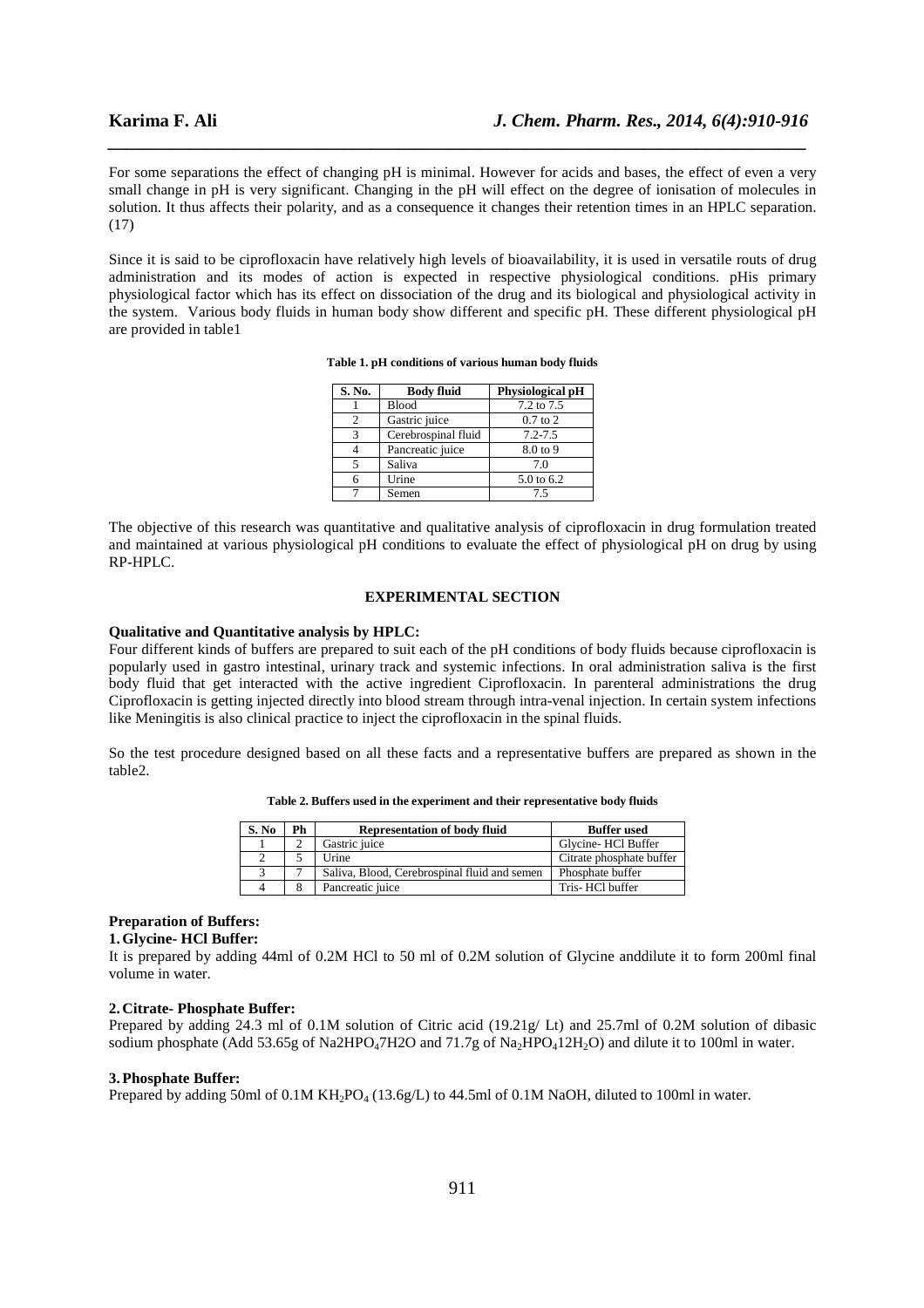For some separations the effect of changing pH is minimal. However for acids and bases, the effect of even a very small change in pH is very significant. Changing in the pH will effect on the degree of ionisation of molecules in solution. It thus affects their polarity, and as a consequence it changes their retention times in an HPLC separation. (17)

*\_\_\_\_\_\_\_\_\_\_\_\_\_\_\_\_\_\_\_\_\_\_\_\_\_\_\_\_\_\_\_\_\_\_\_\_\_\_\_\_\_\_\_\_\_\_\_\_\_\_\_\_\_\_\_\_\_\_\_\_\_\_\_\_\_\_\_\_\_\_\_\_\_\_\_\_\_*

Since it is said to be ciprofloxacin have relatively high levels of bioavailability, it is used in versatile routs of drug administration and its modes of action is expected in respective physiological conditions. pHis primary physiological factor which has its effect on dissociation of the drug and its biological and physiological activity in the system. Various body fluids in human body show different and specific pH. These different physiological pH are provided in table1

| S. No.         | <b>Body fluid</b>   | Physiological pH |
|----------------|---------------------|------------------|
|                | Blood               | 7.2 to 7.5       |
| $\mathfrak{D}$ | Gastric juice       | $0.7$ to $2$     |
| $\mathbf{R}$   | Cerebrospinal fluid | $7.2 - 7.5$      |
|                | Pancreatic juice    | 8.0 to 9         |
|                | Saliva              | 70               |
|                | Urine               | 5.0 to 6.2       |
|                | Semen               | 75               |

**Table 1. pH conditions of various human body fluids**

The objective of this research was quantitative and qualitative analysis of ciprofloxacin in drug formulation treated and maintained at various physiological pH conditions to evaluate the effect of physiological pH on drug by using RP-HPLC.

#### **EXPERIMENTAL SECTION**

#### **Qualitative and Quantitative analysis by HPLC:**

Four different kinds of buffers are prepared to suit each of the pH conditions of body fluids because ciprofloxacin is popularly used in gastro intestinal, urinary track and systemic infections. In oral administration saliva is the first body fluid that get interacted with the active ingredient Ciprofloxacin. In parenteral administrations the drug Ciprofloxacin is getting injected directly into blood stream through intra-venal injection. In certain system infections like Meningitis is also clinical practice to inject the ciprofloxacin in the spinal fluids.

So the test procedure designed based on all these facts and a representative buffers are prepared as shown in the table2.

| Table 2. Buffers used in the experiment and their representative body fluids |  |
|------------------------------------------------------------------------------|--|
|------------------------------------------------------------------------------|--|

| S. No | Ph | <b>Representation of body fluid</b>          | <b>Buffer</b> used       |
|-------|----|----------------------------------------------|--------------------------|
|       |    | Gastric juice                                | Glycine-HCl Buffer       |
|       |    | Urine                                        | Citrate phosphate buffer |
|       |    | Saliva, Blood, Cerebrospinal fluid and semen | Phosphate buffer         |
|       |    | Pancreatic juice                             | Tris-HCl buffer          |

#### **Preparation of Buffers:**

#### **1.Glycine- HCl Buffer:**

It is prepared by adding 44ml of 0.2M HCl to 50 ml of 0.2M solution of Glycine anddilute it to form 200ml final volume in water.

#### **2. Citrate- Phosphate Buffer:**

Prepared by adding 24.3 ml of 0.1M solution of Citric acid (19.21g/ Lt) and 25.7ml of 0.2M solution of dibasic sodium phosphate (Add 53.65g of Na2HPO<sub>4</sub>7H2O and 71.7g of Na<sub>2</sub>HPO<sub>4</sub>12H<sub>2</sub>O) and dilute it to 100ml in water.

#### **3.Phosphate Buffer:**

Prepared by adding 50ml of 0.1M KH<sub>2</sub>PO<sub>4</sub> (13.6g/L) to 44.5ml of 0.1M NaOH, diluted to 100ml in water.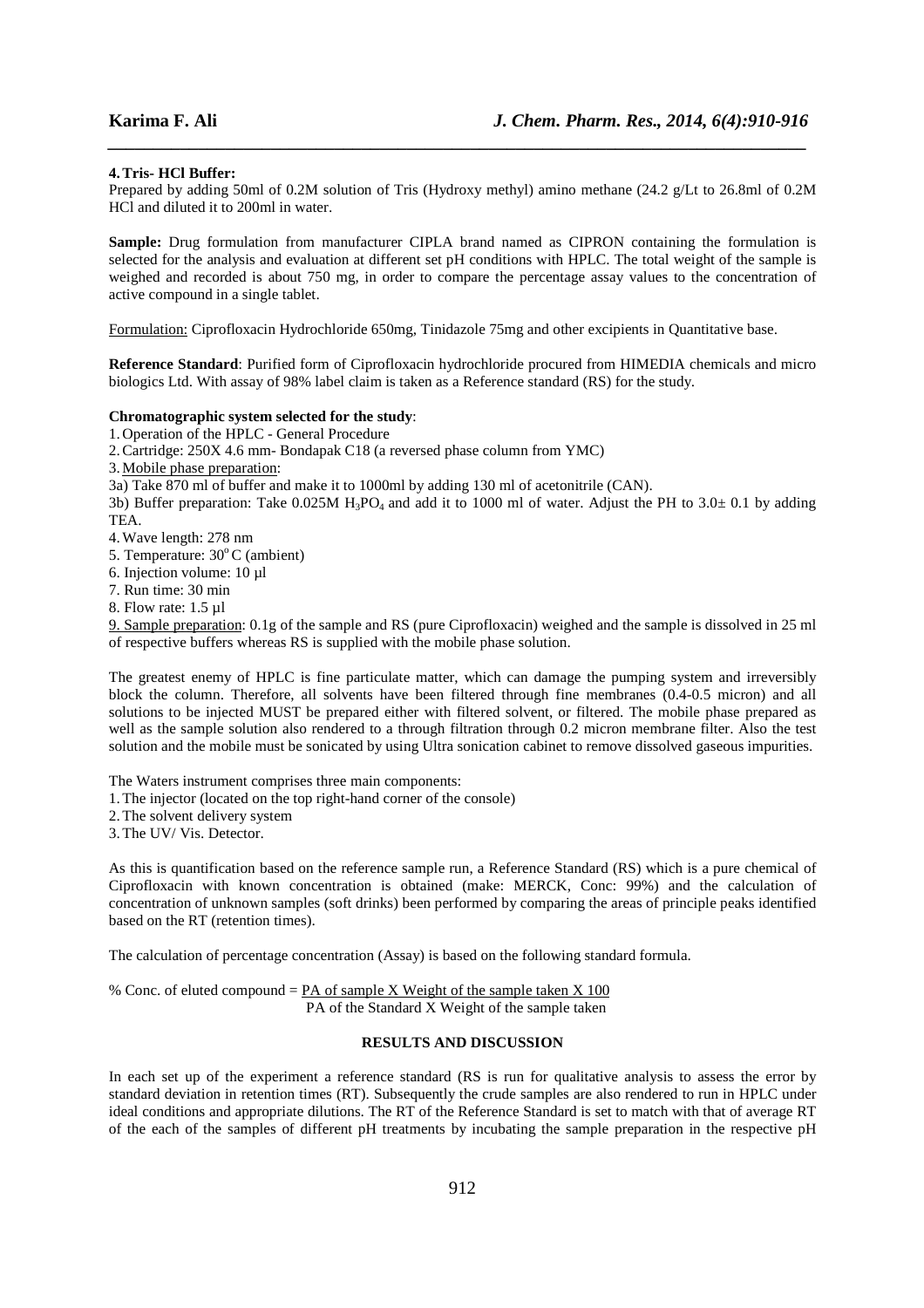#### **4.Tris- HCl Buffer:**

Prepared by adding 50ml of 0.2M solution of Tris (Hydroxy methyl) amino methane (24.2 g/Lt to 26.8ml of 0.2M HCl and diluted it to 200ml in water.

*\_\_\_\_\_\_\_\_\_\_\_\_\_\_\_\_\_\_\_\_\_\_\_\_\_\_\_\_\_\_\_\_\_\_\_\_\_\_\_\_\_\_\_\_\_\_\_\_\_\_\_\_\_\_\_\_\_\_\_\_\_\_\_\_\_\_\_\_\_\_\_\_\_\_\_\_\_*

**Sample:** Drug formulation from manufacturer CIPLA brand named as CIPRON containing the formulation is selected for the analysis and evaluation at different set pH conditions with HPLC. The total weight of the sample is weighed and recorded is about 750 mg, in order to compare the percentage assay values to the concentration of active compound in a single tablet.

Formulation: Ciprofloxacin Hydrochloride 650mg, Tinidazole 75mg and other excipients in Quantitative base.

**Reference Standard**: Purified form of Ciprofloxacin hydrochloride procured from HIMEDIA chemicals and micro biologics Ltd. With assay of 98% label claim is taken as a Reference standard (RS) for the study.

#### **Chromatographic system selected for the study**:

1. Operation of the HPLC - General Procedure

2.Cartridge: 250X 4.6 mm- Bondapak C18 (a reversed phase column from YMC)

3.Mobile phase preparation:

3a) Take 870 ml of buffer and make it to 1000ml by adding 130 ml of acetonitrile (CAN).

3b) Buffer preparation: Take  $0.025M H_3PO_4$  and add it to 1000 ml of water. Adjust the PH to 3.0 $\pm$  0.1 by adding TEA.

- 4.Wave length: 278 nm
- 5. Temperature:  $30^{\circ}$ C (ambient)
- 6. Injection volume: 10 µl
- 7. Run time: 30 min
- 8. Flow rate: 1.5 µl

9. Sample preparation: 0.1g of the sample and RS (pure Ciprofloxacin) weighed and the sample is dissolved in 25 ml of respective buffers whereas RS is supplied with the mobile phase solution.

The greatest enemy of HPLC is fine particulate matter, which can damage the pumping system and irreversibly block the column. Therefore, all solvents have been filtered through fine membranes (0.4-0.5 micron) and all solutions to be injected MUST be prepared either with filtered solvent, or filtered. The mobile phase prepared as well as the sample solution also rendered to a through filtration through 0.2 micron membrane filter. Also the test solution and the mobile must be sonicated by using Ultra sonication cabinet to remove dissolved gaseous impurities.

The Waters instrument comprises three main components:

- 1.The injector (located on the top right-hand corner of the console)
- 2.The solvent delivery system
- 3.The UV/ Vis. Detector.

As this is quantification based on the reference sample run, a Reference Standard (RS) which is a pure chemical of Ciprofloxacin with known concentration is obtained (make: MERCK, Conc: 99%) and the calculation of concentration of unknown samples (soft drinks) been performed by comparing the areas of principle peaks identified based on the RT (retention times).

The calculation of percentage concentration (Assay) is based on the following standard formula.

% Conc. of eluted compound  $= PA$  of sample X Weight of the sample taken  $X$  100 PA of the Standard X Weight of the sample taken

#### **RESULTS AND DISCUSSION**

In each set up of the experiment a reference standard (RS is run for qualitative analysis to assess the error by standard deviation in retention times (RT). Subsequently the crude samples are also rendered to run in HPLC under ideal conditions and appropriate dilutions. The RT of the Reference Standard is set to match with that of average RT of the each of the samples of different pH treatments by incubating the sample preparation in the respective pH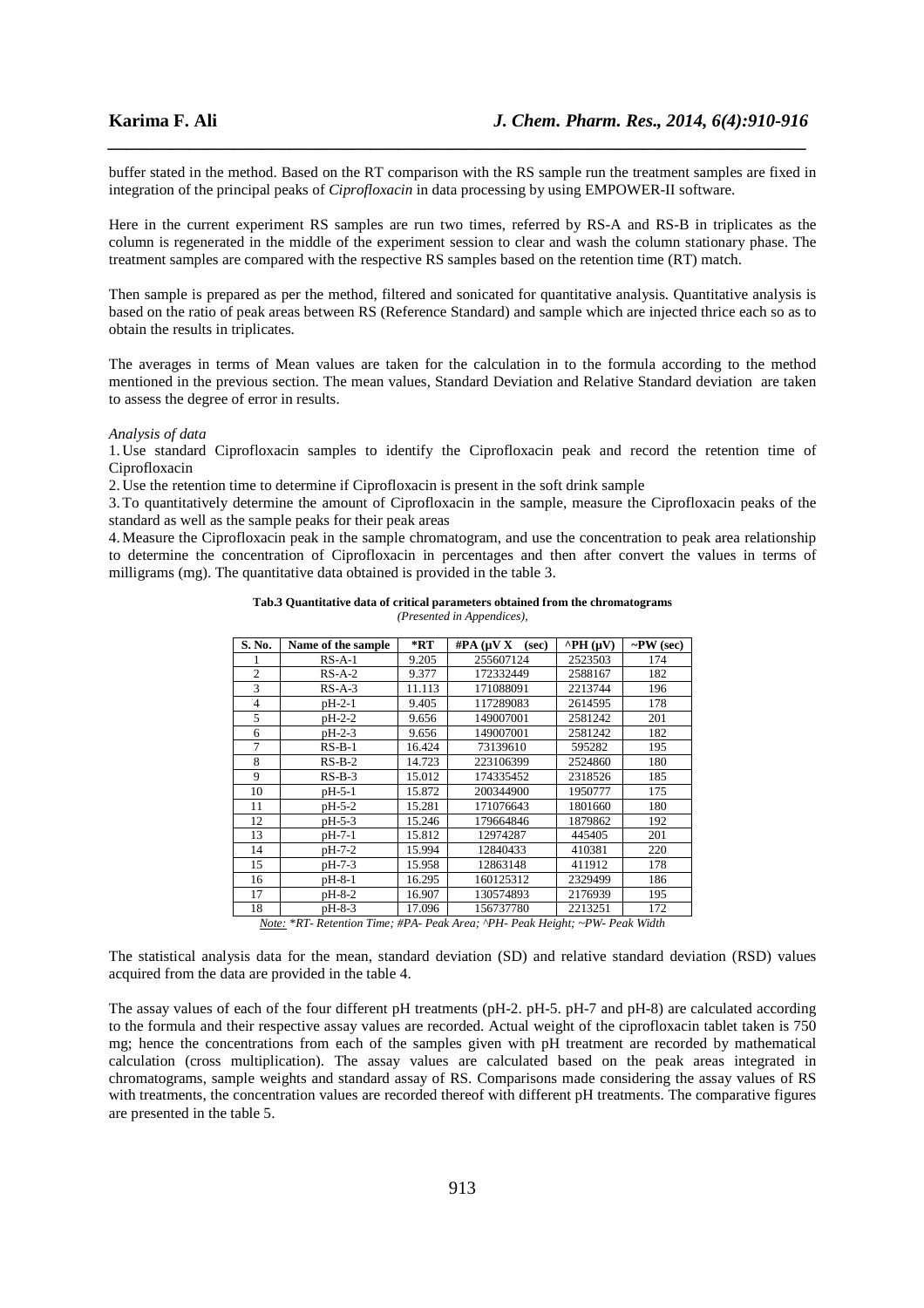buffer stated in the method. Based on the RT comparison with the RS sample run the treatment samples are fixed in integration of the principal peaks of *Ciprofloxacin* in data processing by using EMPOWER-II software.

*\_\_\_\_\_\_\_\_\_\_\_\_\_\_\_\_\_\_\_\_\_\_\_\_\_\_\_\_\_\_\_\_\_\_\_\_\_\_\_\_\_\_\_\_\_\_\_\_\_\_\_\_\_\_\_\_\_\_\_\_\_\_\_\_\_\_\_\_\_\_\_\_\_\_\_\_\_*

Here in the current experiment RS samples are run two times, referred by RS-A and RS-B in triplicates as the column is regenerated in the middle of the experiment session to clear and wash the column stationary phase. The treatment samples are compared with the respective RS samples based on the retention time (RT) match.

Then sample is prepared as per the method, filtered and sonicated for quantitative analysis. Quantitative analysis is based on the ratio of peak areas between RS (Reference Standard) and sample which are injected thrice each so as to obtain the results in triplicates.

The averages in terms of Mean values are taken for the calculation in to the formula according to the method mentioned in the previous section. The mean values, Standard Deviation and Relative Standard deviation are taken to assess the degree of error in results.

#### *Analysis of data*

1. Use standard Ciprofloxacin samples to identify the Ciprofloxacin peak and record the retention time of Ciprofloxacin

2. Use the retention time to determine if Ciprofloxacin is present in the soft drink sample

3. To quantitatively determine the amount of Ciprofloxacin in the sample, measure the Ciprofloxacin peaks of the standard as well as the sample peaks for their peak areas

4. Measure the Ciprofloxacin peak in the sample chromatogram, and use the concentration to peak area relationship to determine the concentration of Ciprofloxacin in percentages and then after convert the values in terms of milligrams (mg). The quantitative data obtained is provided in the table 3.

| Tab.3 Quantitative data of critical parameters obtained from the chromatograms |
|--------------------------------------------------------------------------------|
| (Presented in Appendices),                                                     |

| S. No.         | Name of the sample | $*_{\rm RT}$ | #PA $(\mu$ V X<br>(sec) | $\triangle$ PH $(\mu V)$ | $\sim$ PW (sec) |
|----------------|--------------------|--------------|-------------------------|--------------------------|-----------------|
|                | $RS-A-1$           | 9.205        | 255607124               | 2523503                  | 174             |
| $\overline{2}$ | $RS-A-2$           | 9.377        | 172332449               | 2588167                  | 182             |
| 3              | $RS-A-3$           | 11.113       | 171088091               | 2213744                  | 196             |
| $\overline{4}$ | pH-2-1             | 9.405        | 117289083               | 2614595                  | 178             |
| 5              | pH-2-2             | 9.656        | 149007001               | 2581242                  | 201             |
| 6              | pH-2-3             | 9.656        | 149007001               | 2581242                  | 182             |
| 7              | $RS-B-1$           | 16.424       | 73139610                | 595282                   | 195             |
| 8              | $RS-B-2$           | 14.723       | 223106399               | 2524860                  | 180             |
| 9              | $RS-B-3$           | 15.012       | 174335452               | 2318526                  | 185             |
| 10             | pH-5-1             | 15.872       | 200344900               | 1950777                  | 175             |
| 11             | pH-5-2             | 15.281       | 171076643               | 1801660                  | 180             |
| 12             | pH-5-3             | 15.246       | 179664846               | 1879862                  | 192             |
| 13             | pH-7-1             | 15.812       | 12974287                | 445405                   | 201             |
| 14             | pH-7-2             | 15.994       | 12840433                | 410381                   | 220             |
| 15             | pH-7-3             | 15.958       | 12863148                | 411912                   | 178             |
| 16             | pH-8-1             | 16.295       | 160125312               | 2329499                  | 186             |
| 17             | pH-8-2             | 16.907       | 130574893               | 2176939                  | 195             |
| 18             | pH-8-3             | 17.096       | 156737780               | 2213251                  | 172             |

*Note: \*RT- Retention Time; #PA- Peak Area; ^PH- Peak Height; ~PW- Peak Width* 

The statistical analysis data for the mean, standard deviation (SD) and relative standard deviation (RSD) values acquired from the data are provided in the table 4.

The assay values of each of the four different pH treatments (pH-2. pH-5. pH-7 and pH-8) are calculated according to the formula and their respective assay values are recorded. Actual weight of the ciprofloxacin tablet taken is 750 mg; hence the concentrations from each of the samples given with pH treatment are recorded by mathematical calculation (cross multiplication). The assay values are calculated based on the peak areas integrated in chromatograms, sample weights and standard assay of RS. Comparisons made considering the assay values of RS with treatments, the concentration values are recorded thereof with different pH treatments. The comparative figures are presented in the table 5.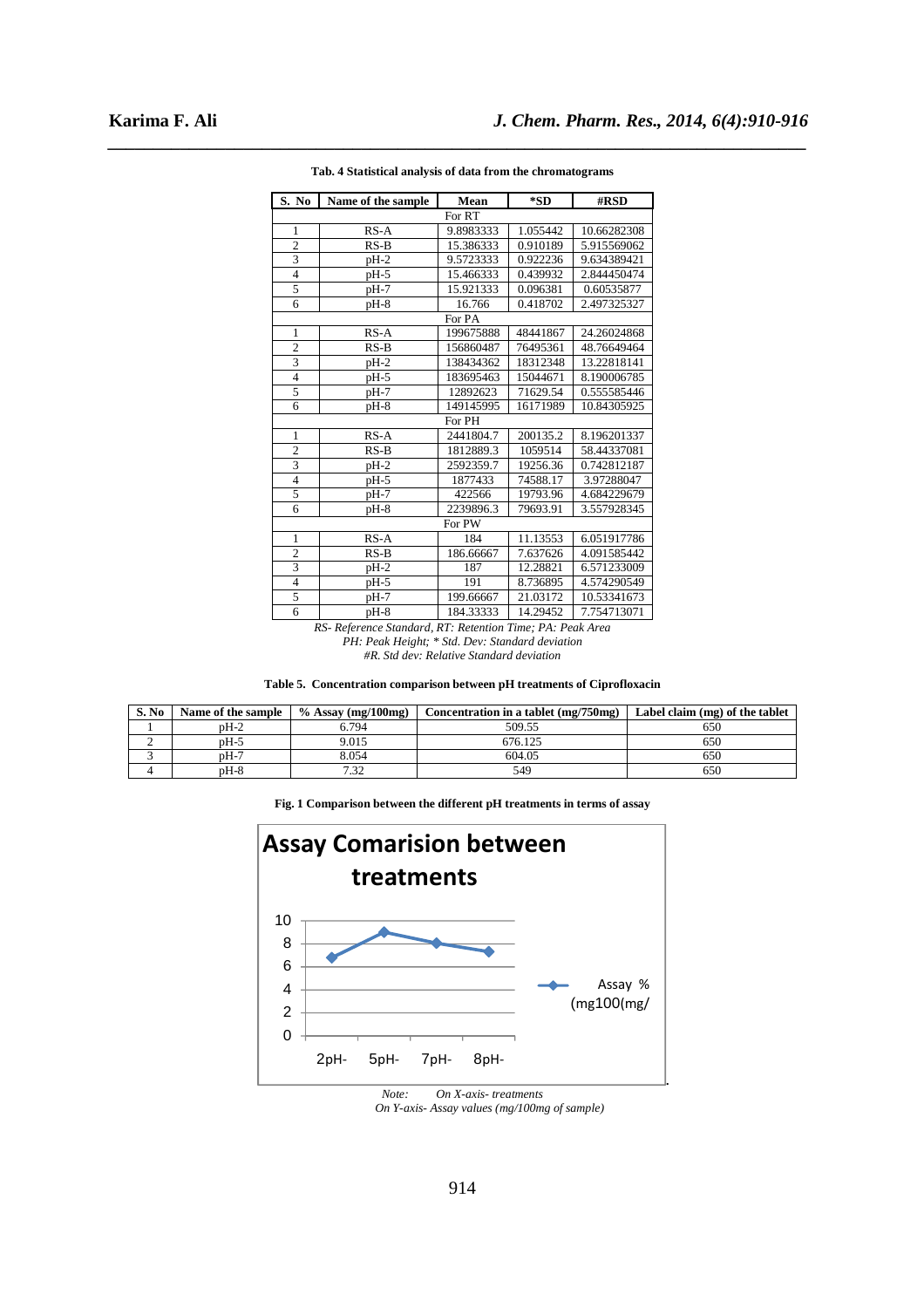| S. No          | Name of the sample | Mean      | *SD      | #RSD        |  |
|----------------|--------------------|-----------|----------|-------------|--|
| For RT         |                    |           |          |             |  |
| 1              | $RS-A$             | 9.8983333 | 1.055442 | 10.66282308 |  |
| $\overline{c}$ | $RS-B$             | 15.386333 | 0.910189 | 5.915569062 |  |
| $\overline{3}$ | $pH-2$             | 9.5723333 | 0.922236 | 9.634389421 |  |
| $\overline{4}$ | pH-5               | 15.466333 | 0.439932 | 2.844450474 |  |
| 5              | pH-7               | 15.921333 | 0.096381 | 0.60535877  |  |
| 6              | $pH-8$             | 16.766    | 0.418702 | 2.497325327 |  |
|                |                    | For PA    |          |             |  |
| $\mathbf{1}$   | $RS-A$             | 199675888 | 48441867 | 24.26024868 |  |
| $\overline{c}$ | $RS-B$             | 156860487 | 76495361 | 48.76649464 |  |
| 3              | $pH-2$             | 138434362 | 18312348 | 13.22818141 |  |
| $\overline{4}$ | pH-5               | 183695463 | 15044671 | 8.190006785 |  |
| 5              | pH-7               | 12892623  | 71629.54 | 0.555585446 |  |
| 6              | $pH-8$             | 149145995 | 16171989 | 10.84305925 |  |
|                |                    | For PH    |          |             |  |
| $\mathbf{1}$   | $RS-A$             | 2441804.7 | 200135.2 | 8.196201337 |  |
| $\overline{2}$ | $RS-B$             | 1812889.3 | 1059514  | 58.44337081 |  |
| $\overline{3}$ | $pH-2$             | 2592359.7 | 19256.36 | 0.742812187 |  |
| $\overline{4}$ | pH-5               | 1877433   | 74588.17 | 3.97288047  |  |
| 5              | pH-7               | 422566    | 19793.96 | 4.684229679 |  |
| 6              | $pH-8$             | 2239896.3 | 79693.91 | 3.557928345 |  |
| For PW         |                    |           |          |             |  |
| 1              | $RS-A$             | 184       | 11.13553 | 6.051917786 |  |
| $\overline{c}$ | $RS-B$             | 186.66667 | 7.637626 | 4.091585442 |  |
| $\overline{3}$ | $pH-2$             | 187       | 12.28821 | 6.571233009 |  |
| $\overline{4}$ | pH-5               | 191       | 8.736895 | 4.574290549 |  |
| 5              | pH-7               | 199.66667 | 21.03172 | 10.53341673 |  |
| 6              | $pH-8$             | 184.33333 | 14.29452 | 7.754713071 |  |

*\_\_\_\_\_\_\_\_\_\_\_\_\_\_\_\_\_\_\_\_\_\_\_\_\_\_\_\_\_\_\_\_\_\_\_\_\_\_\_\_\_\_\_\_\_\_\_\_\_\_\_\_\_\_\_\_\_\_\_\_\_\_\_\_\_\_\_\_\_\_\_\_\_\_\_\_\_* **Tab. 4 Statistical analysis of data from the chromatograms** 

*RS- Reference Standard, RT: Retention Time; PA: Peak Area PH: Peak Height; \* Std. Dev: Standard deviation #R. Std dev: Relative Standard deviation* 

| Table 5. Concentration comparison between pH treatments of Ciprofloxacin |  |  |  |  |  |  |
|--------------------------------------------------------------------------|--|--|--|--|--|--|
|--------------------------------------------------------------------------|--|--|--|--|--|--|

| S. No | Name of the sample | $\%$ Assay (mg/100mg) | Concentration in a tablet $(mg/750mg)$ | Label claim (mg) of the tablet |
|-------|--------------------|-----------------------|----------------------------------------|--------------------------------|
|       | $nH-2$             | 5.794                 | 509.55                                 | 650                            |
| ∸     | $pH-5$             | 9.015                 | 676.125                                | 650                            |
|       | $pH-7$             | 8.054                 | 604.05                                 | 650                            |
|       | $pH-8$             | 7 37                  | 549                                    | 650                            |

**Fig. 1 Comparison between the different pH treatments in terms of assay** 



*On Y-axis- Assay values (mg/100mg of sample)*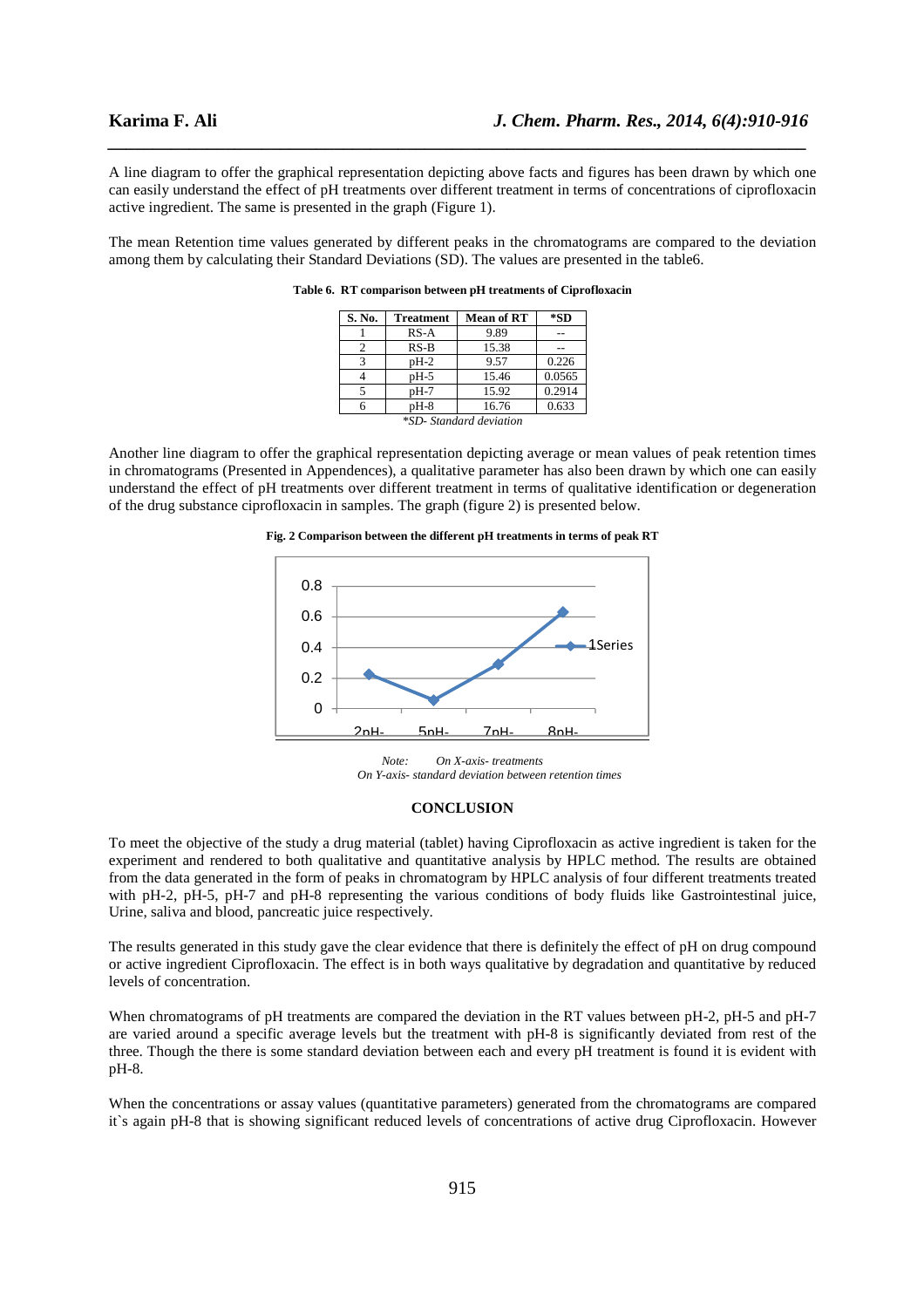A line diagram to offer the graphical representation depicting above facts and figures has been drawn by which one can easily understand the effect of pH treatments over different treatment in terms of concentrations of ciprofloxacin active ingredient. The same is presented in the graph (Figure 1).

*\_\_\_\_\_\_\_\_\_\_\_\_\_\_\_\_\_\_\_\_\_\_\_\_\_\_\_\_\_\_\_\_\_\_\_\_\_\_\_\_\_\_\_\_\_\_\_\_\_\_\_\_\_\_\_\_\_\_\_\_\_\_\_\_\_\_\_\_\_\_\_\_\_\_\_\_\_*

The mean Retention time values generated by different peaks in the chromatograms are compared to the deviation among them by calculating their Standard Deviations (SD). The values are presented in the table6.

| S. No.                  | <b>Treatment</b> | <b>Mean of RT</b> | *SD    |  |  |
|-------------------------|------------------|-------------------|--------|--|--|
|                         | RS-A             | 9.89              |        |  |  |
| 2                       | $RS-B$           | 15.38             |        |  |  |
| 3                       | $pH-2$           | 9.57              | 0.226  |  |  |
|                         | pH-5             | 15.46             | 0.0565 |  |  |
|                         | $pH-7$           | 15.92             | 0.2914 |  |  |
|                         | pH-8             | 16.76             | 0.633  |  |  |
| *SD- Standard deviation |                  |                   |        |  |  |

**Table 6. RT comparison between pH treatments of Ciprofloxacin** 

Another line diagram to offer the graphical representation depicting average or mean values of peak retention times in chromatograms (Presented in Appendences), a qualitative parameter has also been drawn by which one can easily understand the effect of pH treatments over different treatment in terms of qualitative identification or degeneration of the drug substance ciprofloxacin in samples. The graph (figure 2) is presented below.





*Note: On X-axis- treatments On Y-axis- standard deviation between retention times* 

#### **CONCLUSION**

To meet the objective of the study a drug material (tablet) having Ciprofloxacin as active ingredient is taken for the experiment and rendered to both qualitative and quantitative analysis by HPLC method. The results are obtained from the data generated in the form of peaks in chromatogram by HPLC analysis of four different treatments treated with pH-2, pH-5, pH-7 and pH-8 representing the various conditions of body fluids like Gastrointestinal juice, Urine, saliva and blood, pancreatic juice respectively.

The results generated in this study gave the clear evidence that there is definitely the effect of pH on drug compound or active ingredient Ciprofloxacin. The effect is in both ways qualitative by degradation and quantitative by reduced levels of concentration.

When chromatograms of pH treatments are compared the deviation in the RT values between pH-2, pH-5 and pH-7 are varied around a specific average levels but the treatment with pH-8 is significantly deviated from rest of the three. Though the there is some standard deviation between each and every pH treatment is found it is evident with pH-8.

When the concentrations or assay values (quantitative parameters) generated from the chromatograms are compared it`s again pH-8 that is showing significant reduced levels of concentrations of active drug Ciprofloxacin. However